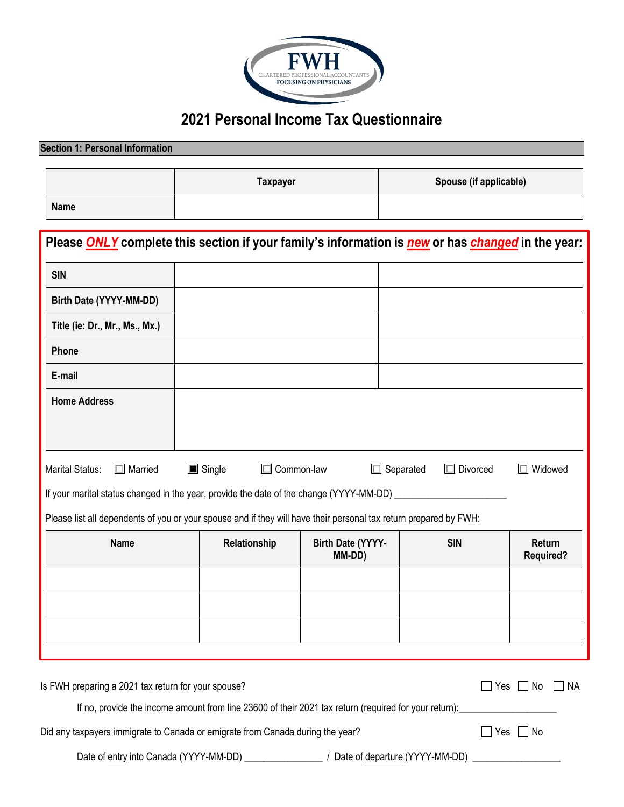

# **2021 Personal Income Tax Questionnaire**

# **Section 1: Personal Information Taxpayer Spouse (if applicable) Name**

| Please ONLY complete this section if your family's information is new or has changed in the year:                 |                                            |                             |                                     |                                   |
|-------------------------------------------------------------------------------------------------------------------|--------------------------------------------|-----------------------------|-------------------------------------|-----------------------------------|
| <b>SIN</b>                                                                                                        |                                            |                             |                                     |                                   |
| Birth Date (YYYY-MM-DD)                                                                                           |                                            |                             |                                     |                                   |
| Title (ie: Dr., Mr., Ms., Mx.)                                                                                    |                                            |                             |                                     |                                   |
| Phone                                                                                                             |                                            |                             |                                     |                                   |
| E-mail                                                                                                            |                                            |                             |                                     |                                   |
| <b>Home Address</b>                                                                                               |                                            |                             |                                     |                                   |
|                                                                                                                   |                                            |                             |                                     |                                   |
| Marital Status:<br>$\Box$ Married                                                                                 | $\blacksquare$ Single<br>$\Box$ Common-law |                             | $\Box$ Separated<br>$\Box$ Divorced | Widowed                           |
| If your marital status changed in the year, provide the date of the change (YYYY-MM-DD) ___________               |                                            |                             |                                     |                                   |
| Please list all dependents of you or your spouse and if they will have their personal tax return prepared by FWH: |                                            |                             |                                     |                                   |
| <b>Name</b>                                                                                                       | Relationship                               | Birth Date (YYYY-<br>MM-DD) | <b>SIN</b>                          | <b>Return</b><br><b>Required?</b> |
|                                                                                                                   |                                            |                             |                                     |                                   |
|                                                                                                                   |                                            |                             |                                     |                                   |
|                                                                                                                   |                                            |                             |                                     |                                   |
|                                                                                                                   |                                            |                             |                                     |                                   |
| Is FWH preparing a 2021 tax return for your spouse?                                                               |                                            |                             |                                     | $\Box$ Yes $\Box$ No<br>$\Box$ NA |
| If no, provide the income amount from line 23600 of their 2021 tax return (required for your return):             |                                            |                             |                                     |                                   |
| Did any taxpayers immigrate to Canada or emigrate from Canada during the year?                                    |                                            |                             |                                     | Yes $\Box$ No                     |

Date of entry into Canada (YYYY-MM-DD) \_\_\_\_\_\_\_\_\_\_\_\_\_\_\_\_ / Date of departure (YYYY-MM-DD) \_\_\_\_\_\_\_\_\_\_\_\_\_\_\_\_\_\_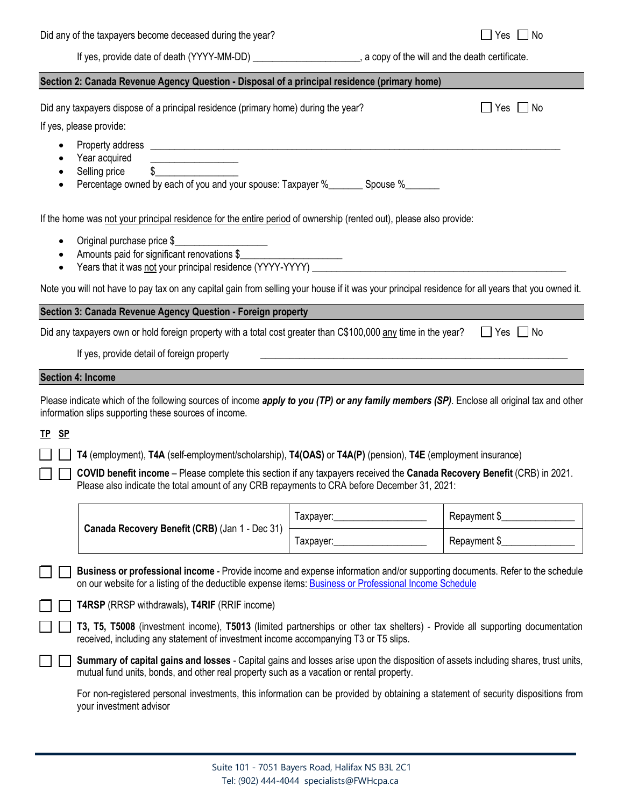If yes, provide date of death (YYYY-MM-DD)  $\qquad \qquad$  a copy of the will and the death certificate.

| Section 2: Canada Revenue Agency Question - Disposal of a principal residence (primary home)                                                                                                                                          |                |                      |
|---------------------------------------------------------------------------------------------------------------------------------------------------------------------------------------------------------------------------------------|----------------|----------------------|
| Did any taxpayers dispose of a principal residence (primary home) during the year?                                                                                                                                                    |                | Yes<br>. No          |
| If yes, please provide:                                                                                                                                                                                                               |                |                      |
|                                                                                                                                                                                                                                       |                |                      |
| Year acquired<br>Selling price<br>$\frac{1}{2}$                                                                                                                                                                                       |                |                      |
| Percentage owned by each of you and your spouse: Taxpayer %________ Spouse %_______<br>$\bullet$                                                                                                                                      |                |                      |
| If the home was not your principal residence for the entire period of ownership (rented out), please also provide:                                                                                                                    |                |                      |
| Original purchase price \$<br>$\bullet$                                                                                                                                                                                               |                |                      |
| Amounts paid for significant renovations \$<br>$\bullet$                                                                                                                                                                              |                |                      |
| Note you will not have to pay tax on any capital gain from selling your house if it was your principal residence for all years that you owned it.                                                                                     |                |                      |
| Section 3: Canada Revenue Agency Question - Foreign property                                                                                                                                                                          |                |                      |
| Did any taxpayers own or hold foreign property with a total cost greater than C\$100,000 any time in the year?                                                                                                                        |                | $\Box$ Yes $\Box$ No |
| If yes, provide detail of foreign property                                                                                                                                                                                            |                |                      |
| <b>Section 4: Income</b>                                                                                                                                                                                                              |                |                      |
| Please indicate which of the following sources of income apply to you (TP) or any family members (SP). Enclose all original tax and other                                                                                             |                |                      |
| information slips supporting these sources of income.                                                                                                                                                                                 |                |                      |
| TP <sub>SP</sub>                                                                                                                                                                                                                      |                |                      |
| T4 (employment), T4A (self-employment/scholarship), T4(OAS) or T4A(P) (pension), T4E (employment insurance)                                                                                                                           |                |                      |
| COVID benefit income - Please complete this section if any taxpayers received the Canada Recovery Benefit (CRB) in 2021.<br>Please also indicate the total amount of any CRB repayments to CRA before December 31, 2021:              |                |                      |
|                                                                                                                                                                                                                                       |                | Repayment \$         |
| Canada Recovery Benefit (CRB) (Jan 1 - Dec 31)                                                                                                                                                                                        | Taxpayer: 1997 | Repayment \$         |
| Business or professional income - Provide income and expense information and/or supporting documents. Refer to the schedule<br>on our website for a listing of the deductible expense items: Business or Professional Income Schedule |                |                      |
| T4RSP (RRSP withdrawals), T4RIF (RRIF income)                                                                                                                                                                                         |                |                      |
| T3, T5, T5008 (investment income), T5013 (limited partnerships or other tax shelters) - Provide all supporting documentation<br>received, including any statement of investment income accompanying T3 or T5 slips.                   |                |                      |
| Summary of capital gains and losses - Capital gains and losses arise upon the disposition of assets including shares, trust units,<br>mutual fund units, bonds, and other real property such as a vacation or rental property.        |                |                      |
| For non-registered personal investments, this information can be provided by obtaining a statement of security dispositions from<br>your investment advisor                                                                           |                |                      |
|                                                                                                                                                                                                                                       |                |                      |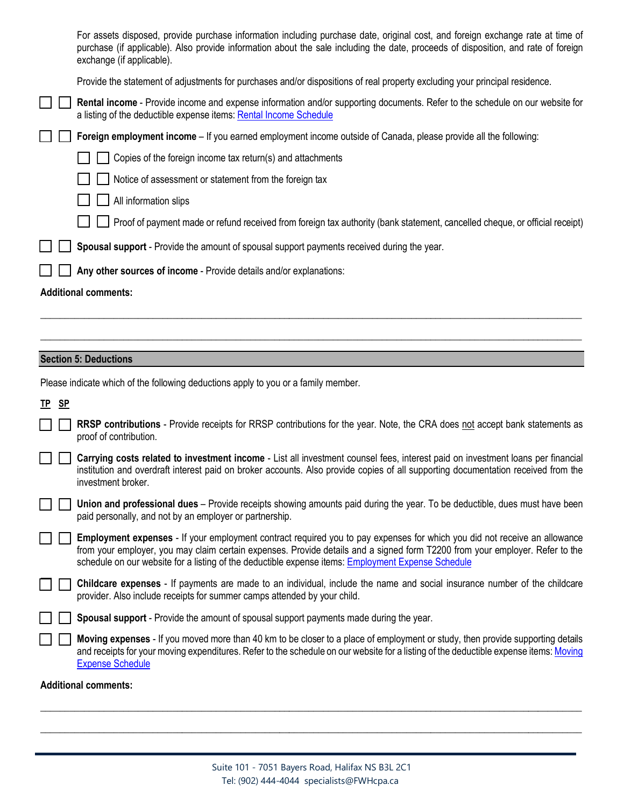|  | Any other sources of income - Provide details and/or explanations:<br><b>Additional comments:</b>                                                                                                                                                                                                 |
|--|---------------------------------------------------------------------------------------------------------------------------------------------------------------------------------------------------------------------------------------------------------------------------------------------------|
|  |                                                                                                                                                                                                                                                                                                   |
|  | Spousal support - Provide the amount of spousal support payments received during the year.                                                                                                                                                                                                        |
|  | Proof of payment made or refund received from foreign tax authority (bank statement, cancelled cheque, or official receipt)                                                                                                                                                                       |
|  | All information slips                                                                                                                                                                                                                                                                             |
|  | Notice of assessment or statement from the foreign tax                                                                                                                                                                                                                                            |
|  | Copies of the foreign income tax return(s) and attachments                                                                                                                                                                                                                                        |
|  | Foreign employment income – If you earned employment income outside of Canada, please provide all the following:                                                                                                                                                                                  |
|  | <b>Rental income</b> - Provide income and expense information and/or supporting documents. Refer to the schedule on our website for<br>a listing of the deductible expense items: Rental Income Schedule                                                                                          |
|  | Provide the statement of adjustments for purchases and/or dispositions of real property excluding your principal residence.                                                                                                                                                                       |
|  | For assets disposed, provide purchase information including purchase date, original cost, and foreign exchange rate at time of<br>purchase (if applicable). Also provide information about the sale including the date, proceeds of disposition, and rate of foreign<br>exchange (if applicable). |

## **Section 5: Deductions**

Please indicate which of the following deductions apply to you or a family member.

**TP SP**

| RRSP contributions - Provide receipts for RRSP contributions for the year. Note, the CRA does not accept bank statements as |  |  |  |  |
|-----------------------------------------------------------------------------------------------------------------------------|--|--|--|--|
| proof of contribution.                                                                                                      |  |  |  |  |

 $\_$  , and the set of the set of the set of the set of the set of the set of the set of the set of the set of the set of the set of the set of the set of the set of the set of the set of the set of the set of the set of th

 $\_$  , and the set of the set of the set of the set of the set of the set of the set of the set of the set of the set of the set of the set of the set of the set of the set of the set of the set of the set of the set of th

| Carrying costs related to investment income - List all investment counsel fees, interest paid on investment loans per financial   |
|-----------------------------------------------------------------------------------------------------------------------------------|
| institution and overdraft interest paid on broker accounts. Also provide copies of all supporting documentation received from the |
| investment broker.                                                                                                                |

| <b>Union and professional dues</b> – Provide receipts showing amounts paid during the year. To be deductible, dues must have been |  |  |
|-----------------------------------------------------------------------------------------------------------------------------------|--|--|
| paid personally, and not by an employer or partnership.                                                                           |  |  |

| Employment expenses - If your employment contract required you to pay expenses for which you did not receive an allowance    |
|------------------------------------------------------------------------------------------------------------------------------|
| from your employer, you may claim certain expenses. Provide details and a signed form T2200 from your employer. Refer to the |
| schedule on our website for a listing of the deductible expense items: Employment Expense Schedule                           |

| <b>Childcare expenses</b> - If payments are made to an individual, include the name and social insurance number of the childcare |  |  |  |  |  |
|----------------------------------------------------------------------------------------------------------------------------------|--|--|--|--|--|
| provider. Also include receipts for summer camps attended by your child.                                                         |  |  |  |  |  |

| Moving expenses - If you moved more than 40 km to be closer to a place of employment or study, then provide supporting details        |
|---------------------------------------------------------------------------------------------------------------------------------------|
| and receipts for your moving expenditures. Refer to the schedule on our website for a listing of the deductible expense items: Moving |
| <b>Expense Schedule</b>                                                                                                               |

### **Additional comments:**

 $\_$  , and the set of the set of the set of the set of the set of the set of the set of the set of the set of the set of the set of the set of the set of the set of the set of the set of the set of the set of the set of th

\_\_\_\_\_\_\_\_\_\_\_\_\_\_\_\_\_\_\_\_\_\_\_\_\_\_\_\_\_\_\_\_\_\_\_\_\_\_\_\_\_\_\_\_\_\_\_\_\_\_\_\_\_\_\_\_\_\_\_\_\_\_\_\_\_\_\_\_\_\_\_\_\_\_\_\_\_\_\_\_\_\_\_\_\_\_\_\_\_\_\_\_\_\_\_\_\_\_\_\_\_\_\_\_\_\_\_\_\_\_\_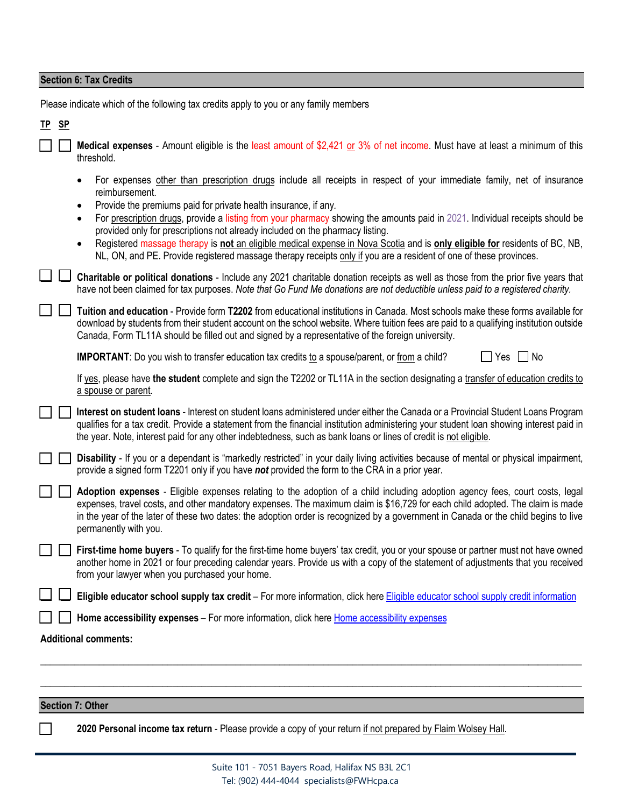# **Section 6: Tax Credits**

Please indicate which of the following tax credits apply to you or any family members

| TP <sub>SP</sub> |                                                                                                                                                                                                                                                                                                                                                                                                                                                                                                                                     |
|------------------|-------------------------------------------------------------------------------------------------------------------------------------------------------------------------------------------------------------------------------------------------------------------------------------------------------------------------------------------------------------------------------------------------------------------------------------------------------------------------------------------------------------------------------------|
|                  | Medical expenses - Amount eligible is the least amount of \$2,421 or 3% of net income. Must have at least a minimum of this<br>threshold.                                                                                                                                                                                                                                                                                                                                                                                           |
|                  | For expenses other than prescription drugs include all receipts in respect of your immediate family, net of insurance<br>reimbursement.                                                                                                                                                                                                                                                                                                                                                                                             |
|                  | Provide the premiums paid for private health insurance, if any.<br>For prescription drugs, provide a listing from your pharmacy showing the amounts paid in 2021. Individual receipts should be<br>provided only for prescriptions not already included on the pharmacy listing.<br>Registered massage therapy is not an eligible medical expense in Nova Scotia and is only eligible for residents of BC, NB,<br>NL, ON, and PE. Provide registered massage therapy receipts only if you are a resident of one of these provinces. |
|                  | Charitable or political donations - Include any 2021 charitable donation receipts as well as those from the prior five years that<br>have not been claimed for tax purposes. Note that Go Fund Me donations are not deductible unless paid to a registered charity.                                                                                                                                                                                                                                                                 |
|                  | Tuition and education - Provide form T2202 from educational institutions in Canada. Most schools make these forms available for<br>download by students from their student account on the school website. Where tuition fees are paid to a qualifying institution outside<br>Canada, Form TL11A should be filled out and signed by a representative of the foreign university.                                                                                                                                                      |
|                  | <b>IMPORTANT:</b> Do you wish to transfer education tax credits to a spouse/parent, or from a child?<br>$Yes \tN$                                                                                                                                                                                                                                                                                                                                                                                                                   |
|                  | If yes, please have the student complete and sign the T2202 or TL11A in the section designating a transfer of education credits to<br>a spouse or parent.                                                                                                                                                                                                                                                                                                                                                                           |
|                  | Interest on student loans - Interest on student loans administered under either the Canada or a Provincial Student Loans Program<br>qualifies for a tax credit. Provide a statement from the financial institution administering your student loan showing interest paid in<br>the year. Note, interest paid for any other indebtedness, such as bank loans or lines of credit is not eligible.                                                                                                                                     |
|                  | Disability - If you or a dependant is "markedly restricted" in your daily living activities because of mental or physical impairment,<br>provide a signed form T2201 only if you have not provided the form to the CRA in a prior year.                                                                                                                                                                                                                                                                                             |
|                  | Adoption expenses - Eligible expenses relating to the adoption of a child including adoption agency fees, court costs, legal<br>expenses, travel costs, and other mandatory expenses. The maximum claim is \$16,729 for each child adopted. The claim is made<br>in the year of the later of these two dates: the adoption order is recognized by a government in Canada or the child begins to live<br>permanently with you.                                                                                                       |
|                  | First-time home buyers - To qualify for the first-time home buyers' tax credit, you or your spouse or partner must not have owned<br>another home in 2021 or four preceding calendar years. Provide us with a copy of the statement of adjustments that you received<br>from your lawyer when you purchased your home.                                                                                                                                                                                                              |
|                  | Eligible educator school supply tax credit – For more information, click here Eligible educator school supply credit information                                                                                                                                                                                                                                                                                                                                                                                                    |
|                  | Home accessibility expenses - For more information, click here Home accessibility expenses                                                                                                                                                                                                                                                                                                                                                                                                                                          |
|                  | <b>Additional comments:</b>                                                                                                                                                                                                                                                                                                                                                                                                                                                                                                         |
|                  |                                                                                                                                                                                                                                                                                                                                                                                                                                                                                                                                     |

#### **Section 7: Other**

 $\overline{\phantom{a}}$ 

**2020 Personal income tax return** - Please provide a copy of your return if not prepared by Flaim Wolsey Hall.

 $\_$  , and the set of the set of the set of the set of the set of the set of the set of the set of the set of the set of the set of the set of the set of the set of the set of the set of the set of the set of the set of th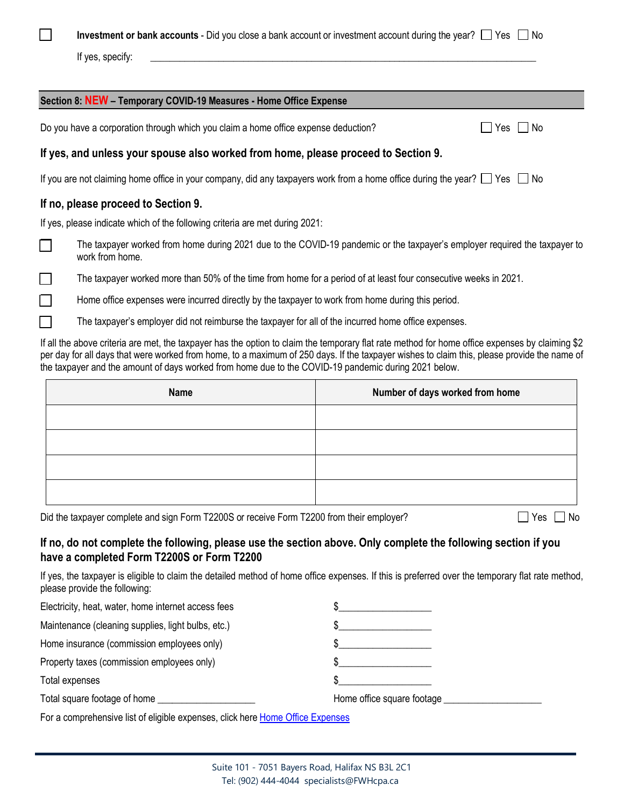| × |  |  |  |
|---|--|--|--|

**Investment or bank accounts** - Did you close a bank account or investment account during the year?  $\Box$  Yes  $\Box$  No

If yes, specify:

| Section 8: NEW - Temporary COVID-19 Measures - Home Office Expense                                                                                                                                                                                                                                                                                                                                     |                                 |  |
|--------------------------------------------------------------------------------------------------------------------------------------------------------------------------------------------------------------------------------------------------------------------------------------------------------------------------------------------------------------------------------------------------------|---------------------------------|--|
| Do you have a corporation through which you claim a home office expense deduction?<br>∣ I No<br>Yes I                                                                                                                                                                                                                                                                                                  |                                 |  |
| If yes, and unless your spouse also worked from home, please proceed to Section 9.                                                                                                                                                                                                                                                                                                                     |                                 |  |
| If you are not claiming home office in your company, did any taxpayers work from a home office during the year? $\Box$ Yes $\Box$ No                                                                                                                                                                                                                                                                   |                                 |  |
| If no, please proceed to Section 9.                                                                                                                                                                                                                                                                                                                                                                    |                                 |  |
| If yes, please indicate which of the following criteria are met during 2021:                                                                                                                                                                                                                                                                                                                           |                                 |  |
| The taxpayer worked from home during 2021 due to the COVID-19 pandemic or the taxpayer's employer required the taxpayer to<br>work from home.                                                                                                                                                                                                                                                          |                                 |  |
| The taxpayer worked more than 50% of the time from home for a period of at least four consecutive weeks in 2021.                                                                                                                                                                                                                                                                                       |                                 |  |
| Home office expenses were incurred directly by the taxpayer to work from home during this period.                                                                                                                                                                                                                                                                                                      |                                 |  |
| The taxpayer's employer did not reimburse the taxpayer for all of the incurred home office expenses.                                                                                                                                                                                                                                                                                                   |                                 |  |
| If all the above criteria are met, the taxpayer has the option to claim the temporary flat rate method for home office expenses by claiming \$2<br>per day for all days that were worked from home, to a maximum of 250 days. If the taxpayer wishes to claim this, please provide the name of<br>the taxpayer and the amount of days worked from home due to the COVID-19 pandemic during 2021 below. |                                 |  |
| <b>Name</b>                                                                                                                                                                                                                                                                                                                                                                                            | Number of days worked from home |  |
|                                                                                                                                                                                                                                                                                                                                                                                                        |                                 |  |
|                                                                                                                                                                                                                                                                                                                                                                                                        |                                 |  |
|                                                                                                                                                                                                                                                                                                                                                                                                        |                                 |  |

Did the taxpayer complete and sign Form T2200S or receive Form T2200 from their employer?  $\Box$  Yes  $\Box$  No

# **If no, do not complete the following, please use the section above. Only complete the following section if you have a completed Form T2200S or Form T2200**

If yes, the taxpayer is eligible to claim the detailed method of home office expenses. If this is preferred over the temporary flat rate method, please provide the following:

| Electricity, heat, water, home internet access fees |                            |
|-----------------------------------------------------|----------------------------|
| Maintenance (cleaning supplies, light bulbs, etc.)  |                            |
| Home insurance (commission employees only)          |                            |
| Property taxes (commission employees only)          |                            |
| Total expenses                                      |                            |
| Total square footage of home                        | Home office square footage |
|                                                     |                            |

For a comprehensive list of eligible expenses, click here [Home Office Expenses](https://www.canada.ca/en/revenue-agency/services/tax/individuals/topics/about-your-tax-return/tax-return/completing-a-tax-return/deductions-credits-expenses/line-229-other-employment-expenses/work-space-home-expenses/expenses-can-claim.html#h-2)